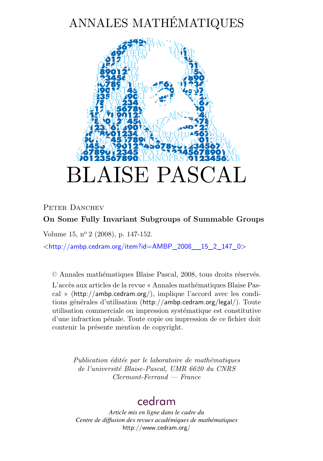# ANNALES MATHÉMATIQUES



## PETER DANCHEV **On Some Fully Invariant Subgroups of Summable Groups**

Volume 15, nº 2 (2008), p. 147-152.

<[http://ambp.cedram.org/item?id=AMBP\\_2008\\_\\_15\\_2\\_147\\_0](http://ambp.cedram.org/item?id=AMBP_2008__15_2_147_0)>

© Annales mathématiques Blaise Pascal, 2008, tous droits réservés.

L'accès aux articles de la revue « Annales mathématiques Blaise Pascal » (<http://ambp.cedram.org/>), implique l'accord avec les conditions générales d'utilisation (<http://ambp.cedram.org/legal/>). Toute utilisation commerciale ou impression systématique est constitutive d'une infraction pénale. Toute copie ou impression de ce fichier doit contenir la présente mention de copyright.

> *Publication éditée par le laboratoire de mathématiques de l'université Blaise-Pascal, UMR 6620 du CNRS Clermont-Ferrand — France*

# [cedram](http://www.cedram.org/)

*Article mis en ligne dans le cadre du Centre de diffusion des revues académiques de mathématiques* <http://www.cedram.org/>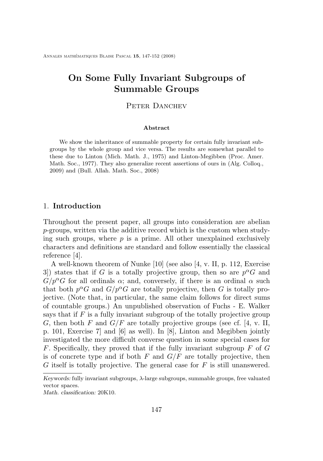## **On Some Fully Invariant Subgroups of Summable Groups**

#### PETER DANCHEV

#### **Abstract**

We show the inheritance of summable property for certain fully invariant subgroups by the whole group and vice versa. The results are somewhat parallel to these due to Linton (Mich. Math. J., 1975) and Linton-Megibben (Proc. Amer. Math. Soc., 1977). They also generalize recent assertions of ours in (Alg. Colloq., 2009) and (Bull. Allah. Math. Soc., 2008)

#### 1. **Introduction**

Throughout the present paper, all groups into consideration are abelian p-groups, written via the additive record which is the custom when studying such groups, where  $p$  is a prime. All other unexplained exclusively characters and definitions are standard and follow essentially the classical reference [\[4\]](#page-6-0).

A well-known theorem of Nunke [\[10\]](#page-6-0) (see also [\[4,](#page-6-0) v. II, p. 112, Exercise 3) states that if G is a totally projective group, then so are  $p^{\alpha}G$  and  $G/p^{\alpha}G$  for all ordinals  $\alpha$ ; and, conversely, if there is an ordinal  $\alpha$  such that both  $p^{\alpha}G$  and  $G/p^{\alpha}G$  are totally projective, then G is totally projective. (Note that, in particular, the same claim follows for direct sums of countable groups.) An unpublished observation of Fuchs - E. Walker says that if  $F$  is a fully invariant subgroup of the totally projective group G, then both F and  $G/F$  are totally projective groups (see cf. [\[4,](#page-6-0) v. II, p. 101, Exercise 7] and [\[6\]](#page-6-0) as well). In [\[8\]](#page-6-0), Linton and Megibben jointly investigated the more difficult converse question in some special cases for F. Specifically, they proved that if the fully invariant subgroup  $F$  of  $G$ is of concrete type and if both F and  $G/F$  are totally projective, then G itself is totally projective. The general case for  $F$  is still unanswered.

*Keywords:* fully invariant subgroups, λ-large subgroups, summable groups, free valuated vector spaces.

*Math. classification:* 20K10.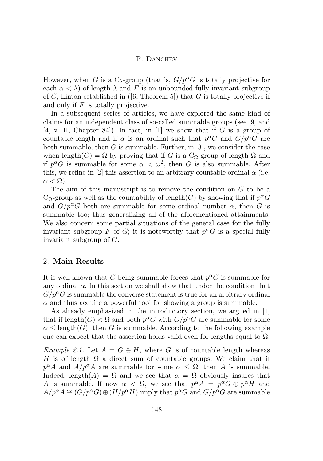#### P. DANCHEV

However, when G is a  $C_{\lambda}$ -group (that is,  $G/p^{\alpha}G$  is totally projective for each  $\alpha < \lambda$ ) of length  $\lambda$  and F is an unbounded fully invariant subgroup of G, Linton established in  $(6,$  Theorem 5) that G is totally projective if and only if  $F$  is totally projective.

In a subsequent series of articles, we have explored the same kind of claims for an independent class of so-called summable groups (see [\[9\]](#page-6-0) and  $[4, v.$  $[4, v.$  II, Chapter 84. In fact, in  $[1]$  we show that if G is a group of countable length and if  $\alpha$  is an ordinal such that  $p^{\alpha}G$  and  $G/p^{\alpha}G$  are both summable, then  $G$  is summable. Further, in [\[3\]](#page-6-0), we consider the case when length(G) =  $\Omega$  by proving that if G is a C<sub> $\Omega$ </sub>-group of length  $\Omega$  and if  $p^{\alpha}G$  is summable for some  $\alpha < \omega^2$ , then G is also summable. After this, we refine in [\[2\]](#page-6-0) this assertion to an arbitrary countable ordinal  $\alpha$  (i.e.  $\alpha < \Omega$ ).

The aim of this manuscript is to remove the condition on G to be a  $C_{\Omega}$ -group as well as the countability of length(G) by showing that if  $p^{\alpha}G$ and  $G/p^{\alpha}G$  both are summable for some ordinal number  $\alpha$ , then G is summable too; thus generalizing all of the aforementioned attainments. We also concern some partial situations of the general case for the fully invariant subgroup F of G; it is noteworthy that  $p^{\alpha}G$  is a special fully invariant subgroup of G.

#### 2. **Main Results**

It is well-known that G being summable forces that  $p^{\alpha}G$  is summable for any ordinal  $\alpha$ . In this section we shall show that under the condition that  $G/p^{\alpha}G$  is summable the converse statement is true for an arbitrary ordinal  $\alpha$  and thus acquire a powerful tool for showing a group is summable.

As already emphasized in the introductory section, we argued in [\[1\]](#page-6-0) that if length $(G) < \Omega$  and both  $p^{\alpha}G$  with  $G/p^{\alpha}G$  are summable for some  $\alpha$  < length(G), then G is summable. According to the following example one can expect that the assertion holds valid even for lengths equal to  $\Omega$ .

*Example 2.1.* Let  $A = G \oplus H$ , where G is of countable length whereas H is of length  $\Omega$  a direct sum of countable groups. We claim that if  $p^{\alpha}A$  and  $A/p^{\alpha}A$  are summable for some  $\alpha \leq \Omega$ , then A is summable. Indeed, length(A) =  $\Omega$  and we see that  $\alpha = \Omega$  obviously insures that A is summable. If now  $\alpha < \Omega$ , we see that  $p^{\alpha}A = p^{\alpha}G \oplus p^{\alpha}H$  and  $A/p^{\alpha}A \cong (G/p^{\alpha}G) \oplus (H/p^{\alpha}H)$  imply that  $p^{\alpha}G$  and  $G/p^{\alpha}G$  are summable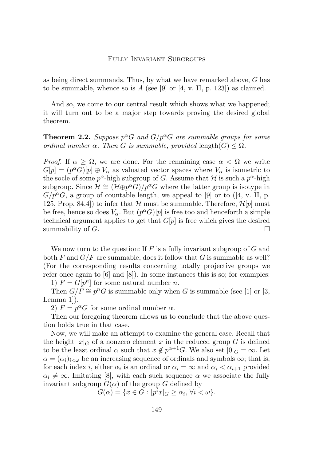#### Fully Invariant Subgroups

<span id="page-3-0"></span>as being direct summands. Thus, by what we have remarked above, G has to be summable, whence so is  $A$  (see [\[9\]](#page-6-0) or [\[4,](#page-6-0) v. II, p. 123]) as claimed.

And so, we come to our central result which shows what we happened; it will turn out to be a major step towards proving the desired global theorem.

### **Theorem 2.2.** Suppose  $p^{\alpha}G$  and  $G/p^{\alpha}G$  are summable groups for some *ordinal number*  $\alpha$ *. Then G is summable, provided* length $(G) \leq \Omega$ *.*

*Proof.* If  $\alpha \geq \Omega$ , we are done. For the remaining case  $\alpha < \Omega$  we write  $G[p] = (p^{\alpha}G)[p] \oplus V_{\alpha}$  as valuated vector spaces where  $V_{\alpha}$  is isometric to the socle of some  $p^{\alpha}$ -high subgroup of G. Assume that H is such a  $p^{\alpha}$ -high subgroup. Since  $\mathcal{H} \cong (\mathcal{H} \oplus p^{\alpha} \tilde{G})/p^{\alpha} G$  where the latter group is isotype in  $G/p^{\alpha}G$ , a group of countable length, we appeal to [\[9\]](#page-6-0) or to ([\[4,](#page-6-0) v. II, p. 125, Prop. 84.4) to infer that  $H$  must be summable. Therefore,  $H[p]$  must be free, hence so does  $V_{\alpha}$ . But  $(p^{\alpha}G)[p]$  is free too and henceforth a simple technical argument applies to get that  $G[p]$  is free which gives the desired summability of  $G$ .

We now turn to the question: If  $F$  is a fully invariant subgroup of  $G$  and both F and  $G/F$  are summable, does it follow that G is summable as well? (For the corresponding results concerning totally projective groups we refer once again to [\[6\]](#page-6-0) and [\[8\]](#page-6-0)). In some instances this is so; for examples:

1)  $F = G[p^n]$  for some natural number *n*.

Then  $G/\tilde{F} \cong p^n G$  is summable only when G is summable (see [\[1\]](#page-6-0) or [\[3,](#page-6-0) Lemma 1]).

2)  $F = p^{\alpha}G$  for some ordinal number  $\alpha$ .

Then our foregoing theorem allows us to conclude that the above question holds true in that case.

Now, we will make an attempt to examine the general case. Recall that the height  $|x|_G$  of a nonzero element x in the reduced group G is defined to be the least ordinal  $\alpha$  such that  $x \notin p^{\alpha+1}G$ . We also set  $|0|_G = \infty$ . Let  $\alpha = (\alpha_i)_{i \leq \omega}$  be an increasing sequence of ordinals and symbols  $\infty$ ; that is, for each index *i*, either  $\alpha_i$  is an ordinal or  $\alpha_i = \infty$  and  $\alpha_i < \alpha_{i+1}$  provided  $\alpha_i \neq \infty$ . Imitating [\[8\]](#page-6-0), with each such sequence  $\alpha$  we associate the fully invariant subgroup  $G(\alpha)$  of the group G defined by

 $G(\alpha) = \{x \in G : |p^i x|_G \ge \alpha_i, \forall i < \omega\}.$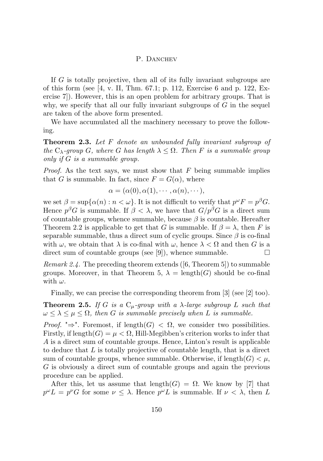#### P. DANCHEV

If G is totally projective, then all of its fully invariant subgroups are of this form (see [\[4,](#page-6-0) v. II, Thm. 67.1; p. 112, Exercise 6 and p. 122, Exercise 7]). However, this is an open problem for arbitrary groups. That is why, we specify that all our fully invariant subgroups of  $G$  in the sequel are taken of the above form presented.

We have accumulated all the machinery necessary to prove the following.

**Theorem 2.3.** *Let* F *denote an unbounded fully invariant subgroup of the*  $C_{\lambda}$ -group *G*, where *G* has length  $\lambda \leq \Omega$ . Then *F* is a summable group *only if* G *is a summable group.*

*Proof.* As the text says, we must show that F being summable implies that G is summable. In fact, since  $F = G(\alpha)$ , where

$$
\alpha = (\alpha(0), \alpha(1), \cdots, \alpha(n), \cdots),
$$

we set  $\beta = \sup{\{\alpha(n) : n < \omega\}}$ . It is not difficult to verify that  $p^{\omega}F = p^{\beta}G$ . Hence  $p^{\beta}G$  is summable. If  $\beta < \lambda$ , we have that  $G/p^{\beta}G$  is a direct sum of countable groups, whence summable, because  $\beta$  is countable. Hereafter Theorem [2.2](#page-3-0) is applicable to get that G is summable. If  $\beta = \lambda$ , then F is separable summable, thus a direct sum of cyclic groups. Since  $\beta$  is co-final with  $\omega$ , we obtain that  $\lambda$  is co-final with  $\omega$ , hence  $\lambda < \Omega$  and then G is a direct sum of countable groups (see [\[9\]](#page-6-0)), whence summable.  $\Box$ 

*Remark 2.4.* The preceding theorem extends ([\[6,](#page-6-0) Theorem 5]) to summable groups. Moreover, in that Theorem 5,  $\lambda = \text{length}(G)$  should be co-final with  $\omega$ .

Finally, we can precise the corresponding theorem from [\[3\]](#page-6-0) (see [\[2\]](#page-6-0) too).

**Theorem 2.5.** *If* G *is a*  $C_\mu$ -group with a  $\lambda$ -large subgroup L such that  $\omega \leq \lambda \leq \mu \leq \Omega$ , then G is summable precisely when L is summable.

*Proof.* " $\Rightarrow$ ". Foremost, if length $(G) < \Omega$ , we consider two possibilities. Firstly, if length $(G) = \mu < \Omega$ , Hill-Megibben's criterion works to infer that A is a direct sum of countable groups. Hence, Linton's result is applicable to deduce that L is totally projective of countable length, that is a direct sum of countable groups, whence summable. Otherwise, if length $(G) < \mu$ , G is obviously a direct sum of countable groups and again the previous procedure can be applied.

After this, let us assume that length( $G$ ) =  $\Omega$ . We know by [\[7\]](#page-6-0) that  $p^{\omega}L = p^{\nu}G$  for some  $\nu \leq \lambda$ . Hence  $p^{\omega}L$  is summable. If  $\nu < \lambda$ , then L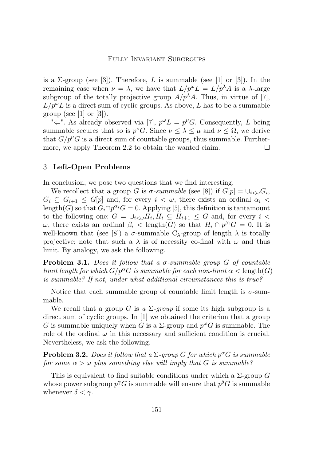#### Fully Invariant Subgroups

is a  $\Sigma$ -group (see [\[3\]](#page-6-0)). Therefore, L is summable (see [\[1\]](#page-6-0) or [3]). In the remaining case when  $\nu = \lambda$ , we have that  $L/p^{\omega}L = L/p^{\lambda}A$  is a  $\lambda$ -large subgroup of the totally projective group  $A/p^{\lambda}A$ . Thus, in virtue of [\[7\]](#page-6-0),  $L/p^{\omega}L$  is a direct sum of cyclic groups. As above, L has to be a summable group (see [\[1\]](#page-6-0) or [\[3\]](#page-6-0)).

" $\Leftarrow$ ". As already observed via [\[7\]](#page-6-0),  $p^{\omega}L = p^{\nu}G$ . Consequently, L being summable secures that so is  $p^{\nu}G$ . Since  $\nu \leq \lambda \leq \mu$  and  $\nu \leq \Omega$ , we derive that  $G/p^{\nu}G$  is a direct sum of countable groups, thus summable. Further-more, we apply Theorem [2.2](#page-3-0) to obtain the wanted claim.  $\Box$ 

#### 3. **Left-Open Problems**

In conclusion, we pose two questions that we find interesting.

We recollect that a group G is  $\sigma$ -summable (see [\[8\]](#page-6-0)) if  $G[p] = \bigcup_{i < \omega} G_i$ ,  $G_i \subseteq G_{i+1} \leq G[p]$  and, for every  $i < \omega$ , there exists an ordinal  $\alpha_i <$ length(G) so that  $G_i \cap p^{\alpha_i}$   $G = 0$ . Applying [\[5\]](#page-6-0), this definition is tantamount to the following one:  $G = \bigcup_{i<\omega} H_i, H_i \subseteq H_{i+1} \leq G$  and, for every  $i <$  $ω$ , there exists an ordinal  $β<sub>i</sub>$  < length(G) so that  $H<sub>i</sub> ∩ p<sup>β<sub>i</sub></sup>G = 0$ . It is well-known that (see [\[8\]](#page-6-0)) a  $\sigma$ -summable C<sub> $\lambda$ </sub>-group of length  $\lambda$  is totally projective; note that such a  $\lambda$  is of necessity co-final with  $\omega$  and thus limit. By analogy, we ask the following.

**Problem 3.1.** *Does it follow that a* σ*-summable group* G *of countable limit length for which*  $G/p^{\alpha}G$  *is summable for each non-limit*  $\alpha <$  length(G) *is summable? If not, under what additional circumstances this is true?*

Notice that each summable group of countable limit length is  $\sigma$ -summable.

We recall that a group G is  $a \Sigma$ -group if some its high subgroup is a direct sum of cyclic groups. In [\[1\]](#page-6-0) we obtained the criterion that a group G is summable uniquely when G is a  $\Sigma$ -group and  $p^{\omega}G$  is summable. The role of the ordinal  $\omega$  in this necessary and sufficient condition is crucial. Nevertheless, we ask the following.

**Problem 3.2.** *Does it follow that a*  $\Sigma$ -group *G for which*  $p^{\alpha}G$  *is summable for some*  $\alpha > \omega$  *plus something else will imply that* G *is summable?* 

This is equivalent to find suitable conditions under which a  $\Sigma$ -group G whose power subgroup  $p^{\gamma}G$  is summable will ensure that  $p^{\delta}G$  is summable whenever  $\delta < \gamma$ .